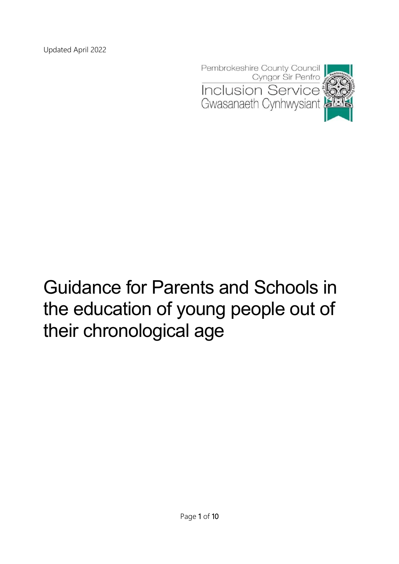

# Guidance for Parents and Schools in the education of young people out of their chronological age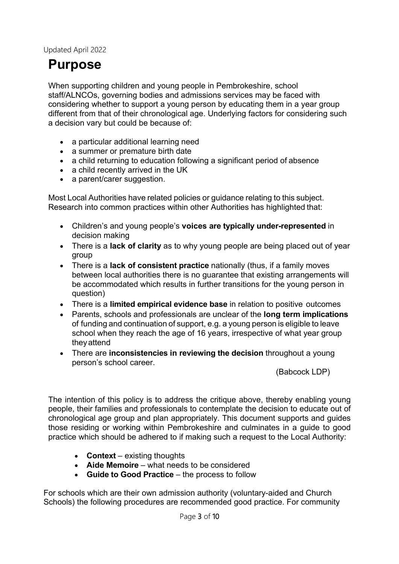# **Purpose**

When supporting children and young people in Pembrokeshire, school staff/ALNCOs, governing bodies and admissions services may be faced with considering whether to support a young person by educating them in a year group different from that of their chronological age. Underlying factors for considering such a decision vary but could be because of:

- a particular additional learning need
- a summer or premature birth date
- a child returning to education following a significant period of absence
- a child recently arrived in the UK
- a parent/carer suggestion.

Most Local Authorities have related policies or guidance relating to this subject. Research into common practices within other Authorities has highlighted that:

- Children's and young people's **voices are typically under-represented** in decision making
- There is a **lack of clarity** as to why young people are being placed out of year group
- There is a **lack of consistent practice** nationally (thus, if a family moves between local authorities there is no guarantee that existing arrangements will be accommodated which results in further transitions for the young person in question)
- There is a **limited empirical evidence base** in relation to positive outcomes
- Parents, schools and professionals are unclear of the **long term implications**  of funding and continuation of support, e.g. a young person is eligible to leave school when they reach the age of 16 years, irrespective of what year group theyattend
- There are **inconsistencies in reviewing the decision** throughout a young person's school career.

(Babcock LDP)

The intention of this policy is to address the critique above, thereby enabling young people, their families and professionals to contemplate the decision to educate out of chronological age group and plan appropriately. This document supports and guides those residing or working within Pembrokeshire and culminates in a guide to good practice which should be adhered to if making such a request to the Local Authority:

- **Context** existing thoughts
- **Aide Memoire**  what needs to be considered
- **Guide to Good Practice**  the process to follow

For schools which are their own admission authority (voluntary-aided and Church Schools) the following procedures are recommended good practice. For community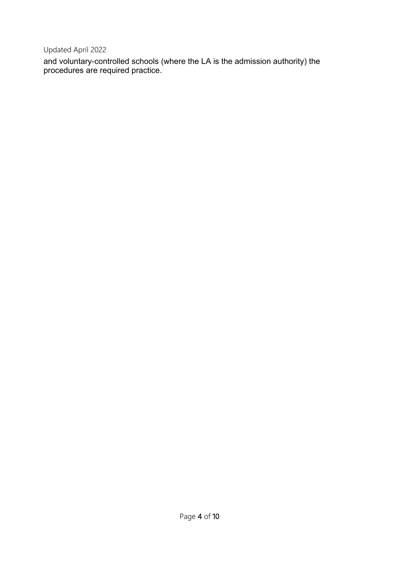and voluntary-controlled schools (where the LA is the admission authority) the procedures are required practice.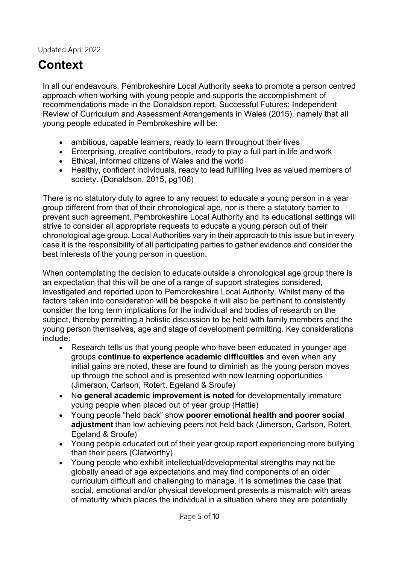## **Context**

In all our endeavours, Pembrokeshire Local Authority seeks to promote a person centred approach when working with young people and supports the accomplishment of recommendations made in the Donaldson report, Successful Futures: Independent Review of Curriculum and Assessment Arrangements in Wales (2015), namely that all young people educated in Pembrokeshire will be:

- ambitious, capable learners, ready to learn throughout their lives
- Enterprising, creative contributors, ready to play a full part in life and work
- Ethical, informed citizens of Wales and the world
- Healthy, confident individuals, ready to lead fulfilling lives as valued members of society. (Donaldson, 2015, pg106)

There is no statutory duty to agree to any request to educate a young person in a year group different from that of their chronological age, nor is there a statutory barrier to prevent such agreement. Pembrokeshire Local Authority and its educational settings will strive to consider all appropriate requests to educate a young person out of their chronological age group. Local Authorities vary in their approach to this issue but in every case it is the responsibility of all participating parties to gather evidence and consider the best interests of the young person in question.

When contemplating the decision to educate outside a chronological age group there is an expectation that this will be one of a range of support strategies considered, investigated and reported upon to Pembrokeshire Local Authority. Whilst many of the factors taken into consideration will be bespoke it will also be pertinent to consistently consider the long term implications for the individual and bodies of research on the subject, thereby permitting a holistic discussion to be held with family members and the young person themselves, age and stage of development permitting. Key considerations include:

- Research tells us that young people who have been educated in younger age groups **continue to experience academic difficulties** and even when any initial gains are noted, these are found to diminish as the young person moves up through the school and is presented with new learning opportunities (Jimerson, Carlson, Rotert, Egeland & Sroufe)
- N**o general academic improvement is noted** for developmentally immature young people when placed out of year group (Hattie)
- Young people "held back" show **poorer emotional health and poorer social adjustment** than low achieving peers not held back (Jimerson, Carlson, Rotert, Egeland & Sroufe)
- Young people educated out of their year group report experiencing more bullying than their peers (Clatworthy)
- Young people who exhibit intellectual/developmental strengths may not be globally ahead of age expectations and may find components of an older curriculum difficult and challenging to manage. It is sometimes the case that social, emotional and/or physical development presents a mismatch with areas of maturity which places the individual in a situation where they are potentially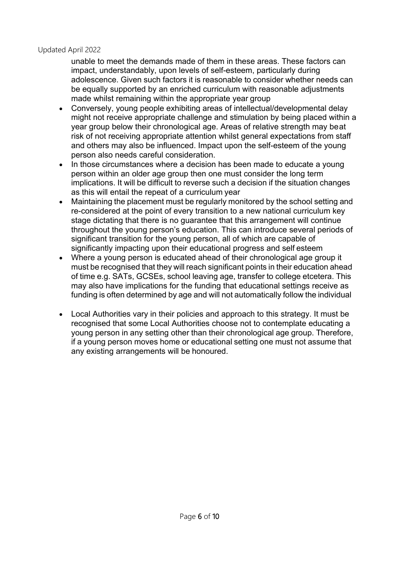unable to meet the demands made of them in these areas. These factors can impact, understandably, upon levels of self-esteem, particularly during adolescence. Given such factors it is reasonable to consider whether needs can be equally supported by an enriched curriculum with reasonable adjustments made whilst remaining within the appropriate year group

- Conversely, young people exhibiting areas of intellectual/developmental delay might not receive appropriate challenge and stimulation by being placed within a year group below their chronological age. Areas of relative strength may beat risk of not receiving appropriate attention whilst general expectations from staff and others may also be influenced. Impact upon the self-esteem of the young person also needs careful consideration.
- In those circumstances where a decision has been made to educate a young person within an older age group then one must consider the long term implications. It will be difficult to reverse such a decision if the situation changes as this will entail the repeat of a curriculum year
- Maintaining the placement must be regularly monitored by the school setting and re-considered at the point of every transition to a new national curriculum key stage dictating that there is no guarantee that this arrangement will continue throughout the young person's education. This can introduce several periods of significant transition for the young person, all of which are capable of significantly impacting upon their educational progress and self esteem
- Where a young person is educated ahead of their chronological age group it must be recognised that they will reach significant points in their education ahead of time e.g. SATs, GCSEs, school leaving age, transfer to college etcetera. This may also have implications for the funding that educational settings receive as funding is often determined by age and will not automatically follow the individual
- Local Authorities vary in their policies and approach to this strategy. It must be recognised that some Local Authorities choose not to contemplate educating a young person in any setting other than their chronological age group. Therefore, if a young person moves home or educational setting one must not assume that any existing arrangements will be honoured.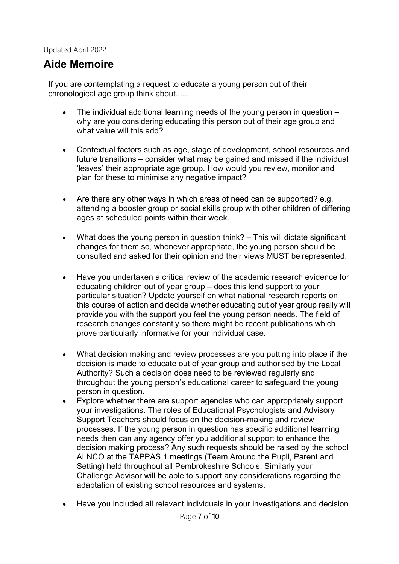### **Aide Memoire**

If you are contemplating a request to educate a young person out of their chronological age group think about......

- The individual additional learning needs of the young person in question why are you considering educating this person out of their age group and what value will this add?
- Contextual factors such as age, stage of development, school resources and future transitions – consider what may be gained and missed if the individual 'leaves' their appropriate age group. How would you review, monitor and plan for these to minimise any negative impact?
- Are there any other ways in which areas of need can be supported? e.g. attending a booster group or social skills group with other children of differing ages at scheduled points within their week.
- What does the young person in question think? This will dictate significant changes for them so, whenever appropriate, the young person should be consulted and asked for their opinion and their views MUST be represented.
- Have you undertaken a critical review of the academic research evidence for educating children out of year group – does this lend support to your particular situation? Update yourself on what national research reports on this course of action and decide whether educating out of year group really will provide you with the support you feel the young person needs. The field of research changes constantly so there might be recent publications which prove particularly informative for your individual case.
- What decision making and review processes are you putting into place if the decision is made to educate out of year group and authorised by the Local Authority? Such a decision does need to be reviewed regularly and throughout the young person's educational career to safeguard the young person in question.
- Explore whether there are support agencies who can appropriately support your investigations. The roles of Educational Psychologists and Advisory Support Teachers should focus on the decision-making and review processes. If the young person in question has specific additional learning needs then can any agency offer you additional support to enhance the decision making process? Any such requests should be raised by the school ALNCO at the TAPPAS 1 meetings (Team Around the Pupil, Parent and Setting) held throughout all Pembrokeshire Schools. Similarly your Challenge Advisor will be able to support any considerations regarding the adaptation of existing school resources and systems.
- Have you included all relevant individuals in your investigations and decision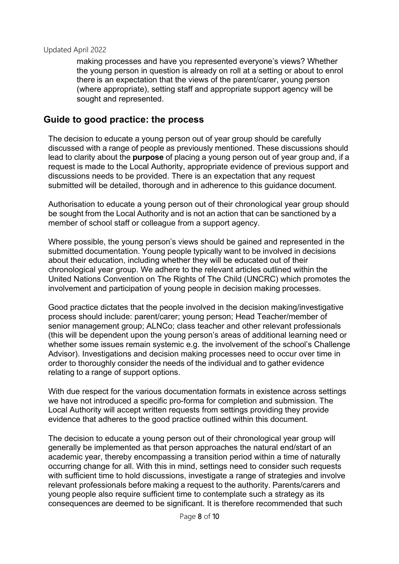making processes and have you represented everyone's views? Whether the young person in question is already on roll at a setting or about to enrol there is an expectation that the views of the parent/carer, young person (where appropriate), setting staff and appropriate support agency will be sought and represented.

### **Guide to good practice: the process**

The decision to educate a young person out of year group should be carefully discussed with a range of people as previously mentioned. These discussions should lead to clarity about the **purpose** of placing a young person out of year group and, if a request is made to the Local Authority, appropriate evidence of previous support and discussions needs to be provided. There is an expectation that any request submitted will be detailed, thorough and in adherence to this guidance document.

Authorisation to educate a young person out of their chronological year group should be sought from the Local Authority and is not an action that can be sanctioned by a member of school staff or colleague from a support agency.

Where possible, the young person's views should be gained and represented in the submitted documentation. Young people typically want to be involved in decisions about their education, including whether they will be educated out of their chronological year group. We adhere to the relevant articles outlined within the United Nations Convention on The Rights of The Child (UNCRC) which promotes the involvement and participation of young people in decision making processes.

Good practice dictates that the people involved in the decision making/investigative process should include: parent/carer; young person; Head Teacher/member of senior management group; ALNCo; class teacher and other relevant professionals (this will be dependent upon the young person's areas of additional learning need or whether some issues remain systemic e.g. the involvement of the school's Challenge Advisor). Investigations and decision making processes need to occur over time in order to thoroughly consider the needs of the individual and to gather evidence relating to a range of support options.

With due respect for the various documentation formats in existence across settings we have not introduced a specific pro-forma for completion and submission. The Local Authority will accept written requests from settings providing they provide evidence that adheres to the good practice outlined within this document.

The decision to educate a young person out of their chronological year group will generally be implemented as that person approaches the natural end/start of an academic year, thereby encompassing a transition period within a time of naturally occurring change for all. With this in mind, settings need to consider such requests with sufficient time to hold discussions, investigate a range of strategies and involve relevant professionals before making a request to the authority. Parents/carers and young people also require sufficient time to contemplate such a strategy as its consequences are deemed to be significant. It is therefore recommended that such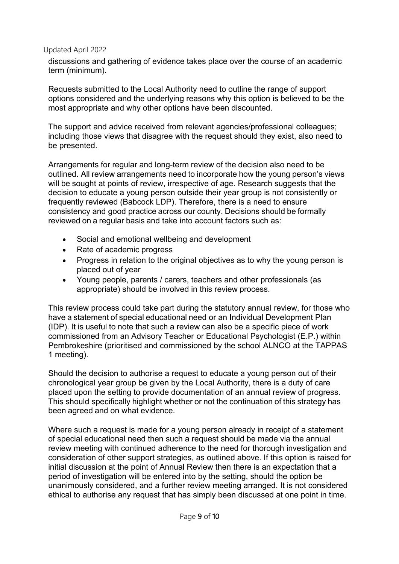discussions and gathering of evidence takes place over the course of an academic term (minimum).

Requests submitted to the Local Authority need to outline the range of support options considered and the underlying reasons why this option is believed to be the most appropriate and why other options have been discounted.

The support and advice received from relevant agencies/professional colleagues; including those views that disagree with the request should they exist, also need to be presented.

Arrangements for regular and long-term review of the decision also need to be outlined. All review arrangements need to incorporate how the young person's views will be sought at points of review, irrespective of age. Research suggests that the decision to educate a young person outside their year group is not consistently or frequently reviewed (Babcock LDP). Therefore, there is a need to ensure consistency and good practice across our county. Decisions should be formally reviewed on a regular basis and take into account factors such as:

- Social and emotional wellbeing and development
- Rate of academic progress
- Progress in relation to the original objectives as to why the young person is placed out of year
- Young people, parents / carers, teachers and other professionals (as appropriate) should be involved in this review process.

This review process could take part during the statutory annual review, for those who have a statement of special educational need or an Individual Development Plan (IDP). It is useful to note that such a review can also be a specific piece of work commissioned from an Advisory Teacher or Educational Psychologist (E.P.) within Pembrokeshire (prioritised and commissioned by the school ALNCO at the TAPPAS 1 meeting).

Should the decision to authorise a request to educate a young person out of their chronological year group be given by the Local Authority, there is a duty of care placed upon the setting to provide documentation of an annual review of progress. This should specifically highlight whether or not the continuation of this strategy has been agreed and on what evidence.

Where such a request is made for a young person already in receipt of a statement of special educational need then such a request should be made via the annual review meeting with continued adherence to the need for thorough investigation and consideration of other support strategies, as outlined above. If this option is raised for initial discussion at the point of Annual Review then there is an expectation that a period of investigation will be entered into by the setting, should the option be unanimously considered, and a further review meeting arranged. It is not considered ethical to authorise any request that has simply been discussed at one point in time.